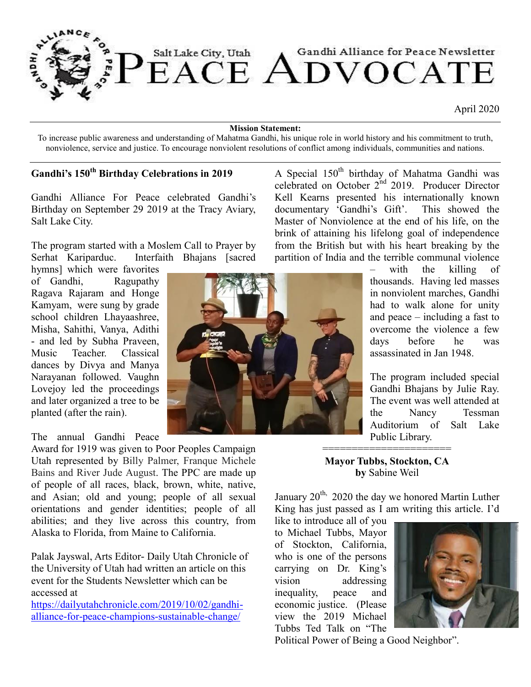

April 2020

#### **Mission Statement:**

To increase public awareness and understanding of Mahatma Gandhi, his unique role in world history and his commitment to truth, nonviolence, service and justice. To encourage nonviolent resolutions of conflict among individuals, communities and nations.

# **Gandhi's 150th Birthday Celebrations in 2019**

Gandhi Alliance For Peace celebrated Gandhi's Birthday on September 29 2019 at the Tracy Aviary, Salt Lake City.

The program started with a Moslem Call to Prayer by Serhat Kariparduc. Interfaith Bhajans [sacred

hymns] which were favorites of Gandhi, Ragupathy Ragava Rajaram and Honge Kamyam, were sung by grade school children Lhayaashree, Misha, Sahithi, Vanya, Adithi - and led by Subha Praveen, Music Teacher. Classical dances by Divya and Manya Narayanan followed. Vaughn Lovejoy led the proceedings and later organized a tree to be planted (after the rain).

## The annual Gandhi Peace

Award for 1919 was given to Poor Peoples Campaign Utah represented by Billy Palmer, Franque Michele Bains and River Jude August. The PPC are made up of people of all races, black, brown, white, native, and Asian; old and young; people of all sexual orientations and gender identities; people of all abilities; and they live across this country, from Alaska to Florida, from Maine to California.

Palak Jayswal, Arts Editor- Daily Utah Chronicle of the University of Utah had written an article on this event for the Students Newsletter which can be accessed at

[https://dailyutahchronicle.com/2019/10/02/gandhi](https://dailyutahchronicle.com/2019/10/02/gandhi-alliance-for-peace-champions-sustainable-change/)[alliance-for-peace-champions-sustainable-change/](https://dailyutahchronicle.com/2019/10/02/gandhi-alliance-for-peace-champions-sustainable-change/)

Kell Kearns presented his internationally known documentary 'Gandhi's Gift'. This showed the Master of Nonviolence at the end of his life, on the brink of attaining his lifelong goal of independence from the British but with his heart breaking by the partition of India and the terrible communal violence – with the killing of

A Special 150<sup>th</sup> birthday of Mahatma Gandhi was celebrated on October 2<sup>nd</sup> 2019. Producer Director

> thousands. Having led masses in nonviolent marches, Gandhi had to walk alone for unity and peace – including a fast to overcome the violence a few days before he was assassinated in Jan 1948.

> The program included special Gandhi Bhajans by Julie Ray. The event was well attended at the Nancy Tessman Auditorium of Salt Lake Public Library.

**Mayor Tubbs, Stockton, CA by** Sabine Weil

========================

January  $20^{th}$ , 2020 the day we honored Martin Luther King has just passed as I am writing this article. I'd

like to introduce all of you to Michael Tubbs, Mayor of Stockton, California, who is one of the persons carrying on Dr. King's vision addressing inequality, peace and economic justice. (Please view the 2019 Michael Tubbs Ted Talk on "The



Political Power of Being a Good Neighbor".

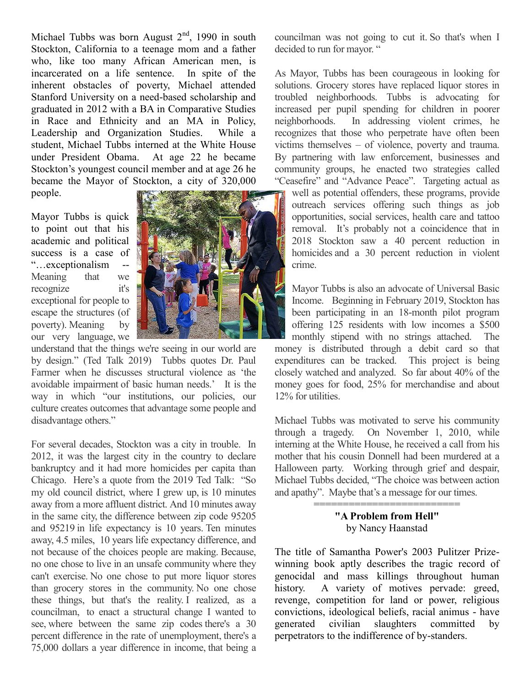Michael Tubbs was born August  $2<sup>nd</sup>$ , 1990 in south Stockton, California to a teenage mom and a father who, like too many African American men, is incarcerated on a life sentence. In spite of the inherent obstacles of poverty, Michael attended Stanford University on a need-based scholarship and graduated in 2012 with a BA in Comparative Studies in Race and Ethnicity and an MA in Policy, Leadership and Organization Studies. While a student, Michael Tubbs interned at the White House under President Obama. At age 22 he became Stockton's youngest council member and at age 26 he became the Mayor of Stockton, a city of 320,000 people.

Mayor Tubbs is quick to point out that his academic and political success is a case of "...exceptionalism Meaning that we recognize it's exceptional for people to escape the structures (of poverty). Meaning by our very language, we



understand that the things we're seeing in our world are by design." (Ted Talk 2019) Tubbs quotes Dr. Paul Farmer when he discusses structural violence as 'the avoidable impairment of basic human needs.' It is the way in which "our institutions, our policies, our culture creates outcomes that advantage some people and disadvantage others."

For several decades, Stockton was a city in trouble. In 2012, it was the largest city in the country to declare bankruptcy and it had more homicides per capita than Chicago. Here's a quote from the 2019 Ted Talk: "So my old council district, where I grew up, is 10 minutes away from a more affluent district. And 10 minutes away in the same city, the difference between zip code 95205 and 95219 in life expectancy is 10 years. Ten minutes away, 4.5 miles, 10 years life expectancy difference, and not because of the choices people are making. Because, no one chose to live in an unsafe community where they can't exercise. No one chose to put more liquor stores than grocery stores in the community. No one chose these things, but that's the reality. I realized, as a councilman, to enact a structural change I wanted to see, where between the same zip codes there's a 30 percent difference in the rate of unemployment, there's a 75,000 dollars a year difference in income, that being a

councilman was not going to cut it. So that's when I decided to run for mayor. "

As Mayor, Tubbs has been courageous in looking for solutions. Grocery stores have replaced liquor stores in troubled neighborhoods. Tubbs is advocating for increased per pupil spending for children in poorer neighborhoods. In addressing violent crimes, he recognizes that those who perpetrate have often been victims themselves – of violence, poverty and trauma. By partnering with law enforcement, businesses and community groups, he enacted two strategies called "Ceasefire" and "Advance Peace". Targeting actual as

well as potential offenders, these programs, provide outreach services offering such things as job opportunities, social services, health care and tattoo removal. It's probably not a coincidence that in 2018 Stockton saw a 40 percent reduction in homicides and a 30 percent reduction in violent crime.

Mayor Tubbs is also an advocate of Universal Basic Income. Beginning in February 2019, Stockton has been participating in an 18-month pilot program offering 125 residents with low incomes a \$500 monthly stipend with no strings attached. The money is distributed through a debit card so that expenditures can be tracked. This project is being closely watched and analyzed. So far about 40% of the money goes for food, 25% for merchandise and about 12% for utilities.

Michael Tubbs was motivated to serve his community through a tragedy. On November 1, 2010, while interning at the White House, he received a call from his mother that his cousin Donnell had been murdered at a Halloween party. Working through grief and despair, Michael Tubbs decided, "The choice was between action and apathy". Maybe that's a message for our times.

> ============================== **"A Problem from Hell"** by Nancy Haanstad

The title of Samantha Power's 2003 Pulitzer Prizewinning book aptly describes the tragic record of genocidal and mass killings throughout human history. A variety of motives pervade: greed, revenge, competition for land or power, religious convictions, ideological beliefs, racial animus - have generated civilian slaughters committed by perpetrators to the indifference of by-standers.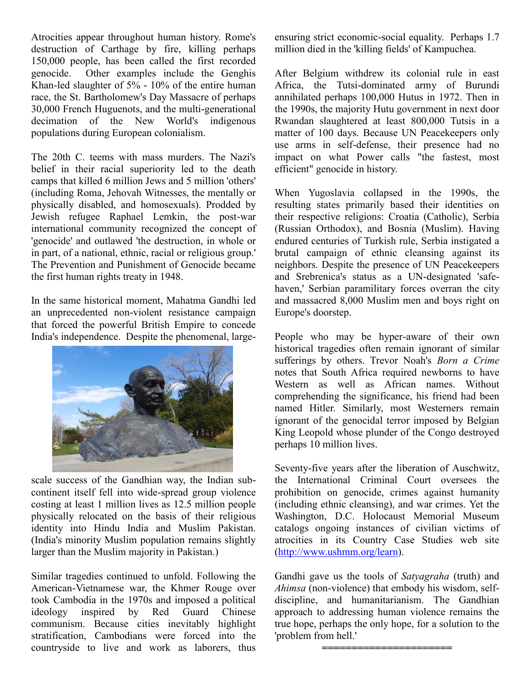Atrocities appear throughout human history. Rome's destruction of Carthage by fire, killing perhaps 150,000 people, has been called the first recorded genocide. Other examples include the Genghis Khan-led slaughter of 5% - 10% of the entire human race, the St. Bartholomew's Day Massacre of perhaps 30,000 French Huguenots, and the multi-generational decimation of the New World's indigenous populations during European colonialism.

The 20th C. teems with mass murders. The Nazi's belief in their racial superiority led to the death camps that killed 6 million Jews and 5 million 'others' (including Roma, Jehovah Witnesses, the mentally or physically disabled, and homosexuals). Prodded by Jewish refugee Raphael Lemkin, the post-war international community recognized the concept of 'genocide' and outlawed 'the destruction, in whole or in part, of a national, ethnic, racial or religious group.' The Prevention and Punishment of Genocide became the first human rights treaty in 1948.

In the same historical moment, Mahatma Gandhi led an unprecedented non-violent resistance campaign that forced the powerful British Empire to concede India's independence. Despite the phenomenal, large-



scale success of the Gandhian way, the Indian subcontinent itself fell into wide-spread group violence costing at least 1 million lives as 12.5 million people physically relocated on the basis of their religious identity into Hindu India and Muslim Pakistan. (India's minority Muslim population remains slightly larger than the Muslim majority in Pakistan.)

Similar tragedies continued to unfold. Following the American-Vietnamese war, the Khmer Rouge over took Cambodia in the 1970s and imposed a political ideology inspired by Red Guard Chinese communism. Because cities inevitably highlight stratification, Cambodians were forced into the countryside to live and work as laborers, thus ensuring strict economic-social equality. Perhaps 1.7 million died in the 'killing fields' of Kampuchea.

After Belgium withdrew its colonial rule in east Africa, the Tutsi-dominated army of Burundi annihilated perhaps 100,000 Hutus in 1972. Then in the 1990s, the majority Hutu government in next door Rwandan slaughtered at least 800,000 Tutsis in a matter of 100 days. Because UN Peacekeepers only use arms in self-defense, their presence had no impact on what Power calls "the fastest, most efficient" genocide in history.

When Yugoslavia collapsed in the 1990s, the resulting states primarily based their identities on their respective religions: Croatia (Catholic), Serbia (Russian Orthodox), and Bosnia (Muslim). Having endured centuries of Turkish rule, Serbia instigated a brutal campaign of ethnic cleansing against its neighbors. Despite the presence of UN Peacekeepers and Srebrenica's status as a UN-designated 'safehaven,' Serbian paramilitary forces overran the city and massacred 8,000 Muslim men and boys right on Europe's doorstep.

People who may be hyper-aware of their own historical tragedies often remain ignorant of similar sufferings by others. Trevor Noah's *Born a Crime*  notes that South Africa required newborns to have Western as well as African names. Without comprehending the significance, his friend had been named Hitler. Similarly, most Westerners remain ignorant of the genocidal terror imposed by Belgian King Leopold whose plunder of the Congo destroyed perhaps 10 million lives.

Seventy-five years after the liberation of Auschwitz, the International Criminal Court oversees the prohibition on genocide, crimes against humanity (including ethnic cleansing), and war crimes. Yet the Washington, D.C. Holocaust Memorial Museum catalogs ongoing instances of civilian victims of atrocities in its Country Case Studies web site [\(http://www.ushmm.org/learn\).](http://www.ushmm.org/learn)

Gandhi gave us the tools of *Satyagraha* (truth) and *Ahimsa* (non-violence) that embody his wisdom, selfdiscipline, and humanitarianism. The Gandhian approach to addressing human violence remains the true hope, perhaps the only hope, for a solution to the 'problem from hell.'

**======================**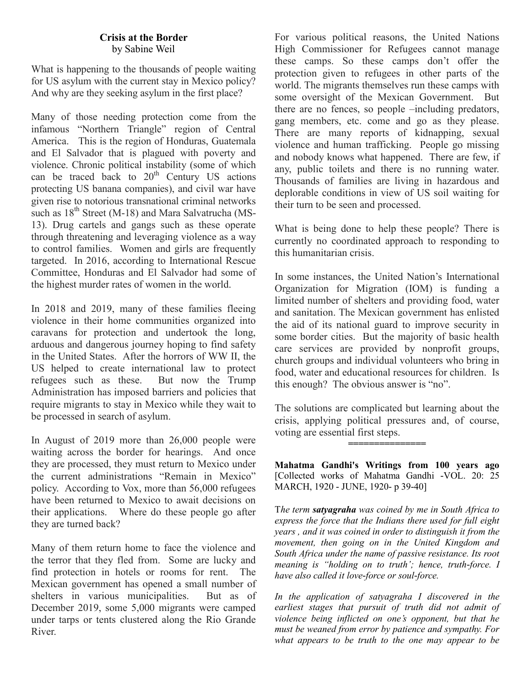## **Crisis at the Border**  by Sabine Weil

What is happening to the thousands of people waiting for US asylum with the current stay in Mexico policy? And why are they seeking asylum in the first place?

Many of those needing protection come from the infamous "Northern Triangle" region of Central America. This is the region of Honduras, Guatemala and El Salvador that is plagued with poverty and violence. Chronic political instability (some of which can be traced back to  $20<sup>th</sup>$  Century US actions protecting US banana companies), and civil war have given rise to notorious transnational criminal networks such as  $18<sup>th</sup>$  Street (M-18) and Mara Salvatrucha (MS-13). Drug cartels and gangs such as these operate through threatening and leveraging violence as a way to control families. Women and girls are frequently targeted. In 2016, according to International Rescue Committee, Honduras and El Salvador had some of the highest murder rates of women in the world.

In 2018 and 2019, many of these families fleeing violence in their home communities organized into caravans for protection and undertook the long, arduous and dangerous journey hoping to find safety in the United States. After the horrors of WW II, the US helped to create international law to protect refugees such as these. But now the Trump Administration has imposed barriers and policies that require migrants to stay in Mexico while they wait to be processed in search of asylum.

In August of 2019 more than 26,000 people were waiting across the border for hearings. And once they are processed, they must return to Mexico under the current administrations "Remain in Mexico" policy. According to Vox, more than 56,000 refugees have been returned to Mexico to await decisions on their applications. Where do these people go after they are turned back?

Many of them return home to face the violence and the terror that they fled from. Some are lucky and find protection in hotels or rooms for rent. The Mexican government has opened a small number of shelters in various municipalities. But as of December 2019, some 5,000 migrants were camped under tarps or tents clustered along the Rio Grande River.

For various political reasons, the United Nations High Commissioner for Refugees cannot manage these camps. So these camps don't offer the protection given to refugees in other parts of the world. The migrants themselves run these camps with some oversight of the Mexican Government. But there are no fences, so people –including predators, gang members, etc. come and go as they please. There are many reports of kidnapping, sexual violence and human trafficking. People go missing and nobody knows what happened. There are few, if any, public toilets and there is no running water. Thousands of families are living in hazardous and deplorable conditions in view of US soil waiting for their turn to be seen and processed.

What is being done to help these people? There is currently no coordinated approach to responding to this humanitarian crisis.

In some instances, the United Nation's International Organization for Migration (IOM) is funding a limited number of shelters and providing food, water and sanitation. The Mexican government has enlisted the aid of its national guard to improve security in some border cities. But the majority of basic health care services are provided by nonprofit groups, church groups and individual volunteers who bring in food, water and educational resources for children. Is this enough? The obvious answer is "no".

The solutions are complicated but learning about the crisis, applying political pressures and, of course, voting are essential first steps.

**===============**

**Mahatma Gandhi's Writings from 100 years ago** [Collected works of Mahatma Gandhi -VOL. 20: 25 MARCH, 1920 - JUNE, 1920- p 39-40]

T*he term satyagraha was coined by me in South Africa to express the force that the Indians there used for full eight years , and it was coined in order to distinguish it from the movement, then going on in the United Kingdom and South Africa under the name of passive resistance. Its root meaning is "holding on to truth'; hence, truth-force. I have also called it love-force or soul-force.*

*In the application of satyagraha I discovered in the earliest stages that pursuit of truth did not admit of violence being inflicted on one's opponent, but that he must be weaned from error by patience and sympathy. For what appears to be truth to the one may appear to be*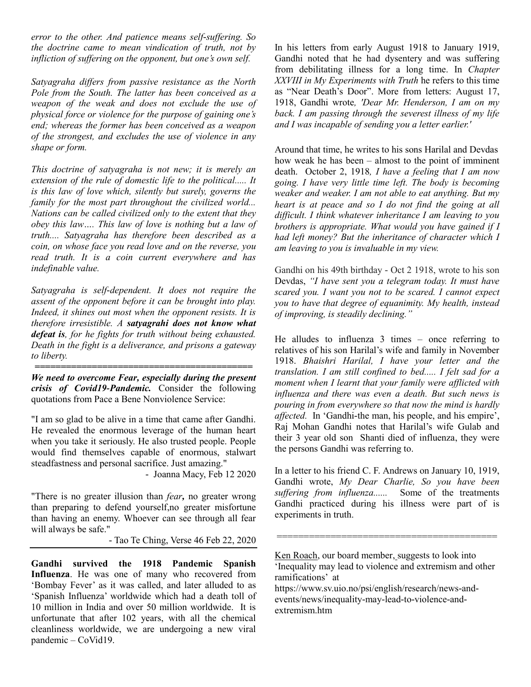*error to the other. And patience means self-suffering. So the doctrine came to mean vindication of truth, not by infliction of suffering on the opponent, but one's own self.* 

*Satyagraha differs from passive resistance as the North Pole from the South. The latter has been conceived as a weapon of the weak and does not exclude the use of physical force or violence for the purpose of gaining one's end; whereas the former has been conceived as a weapon of the strongest, and excludes the use of violence in any shape or form.*

*This doctrine of satyagraha is not new; it is merely an extension of the rule of domestic life to the political..... It is this law of love which, silently but surely, governs the family for the most part throughout the civilized world... Nations can be called civilized only to the extent that they obey this law…. This law of love is nothing but a law of truth.... Satyagraha has therefore been described as a coin, on whose face you read love and on the reverse, you read truth. It is a coin current everywhere and has indefinable value.* 

*Satyagraha is self-dependent. It does not require the assent of the opponent before it can be brought into play. Indeed, it shines out most when the opponent resists. It is therefore irresistible. A satyagrahi does not know what defeat is, for he fights for truth without being exhausted. Death in the fight is a deliverance, and prisons a gateway to liberty.*

*We need to overcome Fear, especially during the present crisis of Covid19-Pandemic.* Consider the following quotations from Pace a Bene Nonviolence Service:

*==========================================*

"I am so glad to be alive in a time that came after Gandhi. He revealed the enormous leverage of the human heart when you take it seriously. He also trusted people. People would find themselves capable of enormous, stalwart steadfastness and personal sacrifice. Just amazing."

- Joanna Macy, Feb 12 2020

"There is no greater illusion than *fear,* no greater wrong than preparing to defend yourself,no greater misfortune than having an enemy. Whoever can see through all fear will always be safe."

- Tao Te Ching, Verse 46 Feb 22, 2020

**Gandhi survived the 1918 Pandemic Spanish Influenza**. He was one of many who recovered from 'Bombay Fever' as it was called, and later alluded to as 'Spanish Influenza' worldwide which had a death toll of 10 million in India and over 50 million worldwide. It is unfortunate that after 102 years, with all the chemical cleanliness worldwide, we are undergoing a new viral pandemic – CoVid19.

In his letters from early August 1918 to January 1919, Gandhi noted that he had dysentery and was suffering from debilitating illness for a long time. In *Chapter XXVIII in My Experiments with Truth* he refers to this time as "Near Death's Door". More from letters: August 17, 1918, Gandhi wrote*, 'Dear Mr. Henderson, I am on my back. I am passing through the severest illness of my life and I was incapable of sending you a letter earlier.'* 

Around that time, he writes to his sons Harilal and Devdas how weak he has been – almost to the point of imminent death. October 2, 1918*, I have a feeling that I am now going. I have very little time left. The body is becoming weaker and weaker. I am not able to eat anything. But my heart is at peace and so I do not find the going at all difficult. I think whatever inheritance I am leaving to you brothers is appropriate. What would you have gained if I had left money? But the inheritance of character which I am leaving to you is invaluable in my view.*

Gandhi on his 49th birthday - Oct 2 1918, wrote to his son Devdas, *"I have sent you a telegram today. It must have scared you. I want you not to be scared. I cannot expect you to have that degree of equanimity. My health, instead of improving, is steadily declining."*

He alludes to influenza 3 times – once referring to relatives of his son Harilal's wife and family in November 1918. *Bhaishri Harilal, I have your letter and the translation. I am still confined to bed..... I felt sad for a moment when I learnt that your family were afflicted with influenza and there was even a death. But such news is pouring in from everywhere so that now the mind is hardly affected.* In 'Gandhi-the man, his people, and his empire', Raj Mohan Gandhi notes that Harilal's wife Gulab and their 3 year old son Shanti died of influenza, they were the persons Gandhi was referring to.

In a letter to his friend C. F. Andrews on January 10, 1919, Gandhi wrote, *My Dear Charlie, So you have been suffering from influenza......* Some of the treatments Gandhi practiced during his illness were part of is experiments in truth.

Ken Roach, our board member, suggests to look into 'Inequality may lead to violence and extremism and other ramifications' at

=========================================

https://www.sv.uio.no/psi/english/research/news-andevents/news/inequality-may-lead-to-violence-andextremism.htm